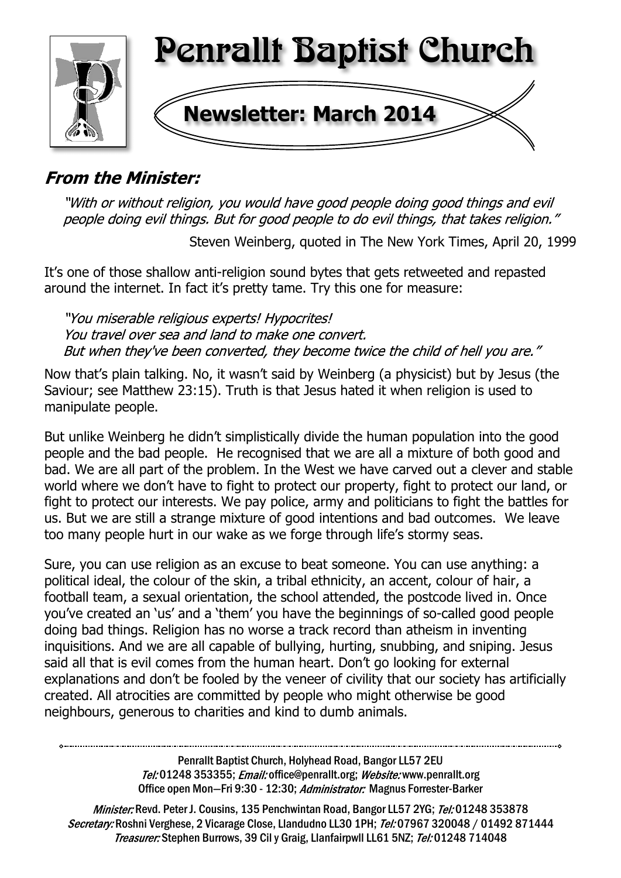

# **From the Minister:**

"With or without religion, you would have good people doing good things and evil people doing evil things. But for good people to do evil things, that takes religion."

Steven Weinberg, quoted in The New York Times, April 20, 1999

It's one of those shallow anti-religion sound bytes that gets retweeted and repasted around the internet. In fact it's pretty tame. Try this one for measure:

"You miserable religious experts! Hypocrites! You travel over sea and land to make one convert. But when they've been converted, they become twice the child of hell you are."

Now that's plain talking. No, it wasn't said by Weinberg (a physicist) but by Jesus (the Saviour; see Matthew 23:15). Truth is that Jesus hated it when religion is used to manipulate people.

But unlike Weinberg he didn't simplistically divide the human population into the good people and the bad people. He recognised that we are all a mixture of both good and bad. We are all part of the problem. In the West we have carved out a clever and stable world where we don't have to fight to protect our property, fight to protect our land, or fight to protect our interests. We pay police, army and politicians to fight the battles for us. But we are still a strange mixture of good intentions and bad outcomes. We leave too many people hurt in our wake as we forge through life's stormy seas.

Sure, you can use religion as an excuse to beat someone. You can use anything: a political ideal, the colour of the skin, a tribal ethnicity, an accent, colour of hair, a football team, a sexual orientation, the school attended, the postcode lived in. Once you've created an 'us' and a 'them' you have the beginnings of so-called good people doing bad things. Religion has no worse a track record than atheism in inventing inquisitions. And we are all capable of bullying, hurting, snubbing, and sniping. Jesus said all that is evil comes from the human heart. Don't go looking for external explanations and don't be fooled by the veneer of civility that our society has artificially created. All atrocities are committed by people who might otherwise be good neighbours, generous to charities and kind to dumb animals.

> Penrallt Baptist Church, Holyhead Road, Bangor LL57 2EU Tel:01248 353355; Email: office@penrallt.org; Website: www.penrallt.org Office open Mon-Fri 9:30 - 12:30; Administrator: Magnus Forrester-Barker

Minister: Revd. Peter J. Cousins, 135 Penchwintan Road, Bangor LL57 2YG; Tel: 01248 353878 Secretary: Roshni Verghese, 2 Vicarage Close, Llandudno LL30 1PH; Tel: 07967 320048 / 01492 871444 Treasurer: Stephen Burrows, 39 Cil y Graig, Llanfairpwll LL61 5NZ; Tel: 01248 714048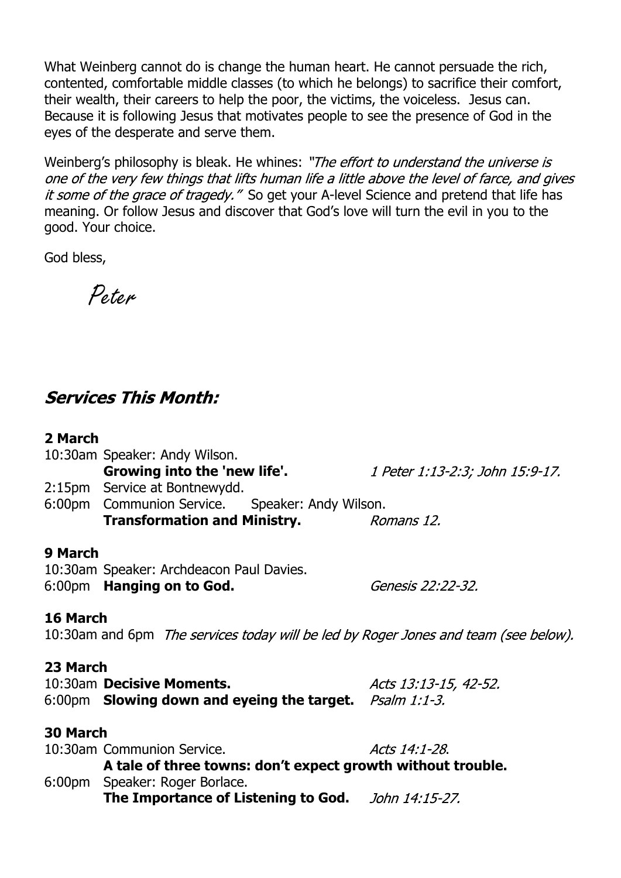What Weinberg cannot do is change the human heart. He cannot persuade the rich, contented, comfortable middle classes (to which he belongs) to sacrifice their comfort, their wealth, their careers to help the poor, the victims, the voiceless. Jesus can. Because it is following Jesus that motivates people to see the presence of God in the eyes of the desperate and serve them.

Weinberg's philosophy is bleak. He whines: "The effort to understand the universe is one of the very few things that lifts human life a little above the level of farce, and gives it some of the grace of tragedy." So get your A-level Science and pretend that life has meaning. Or follow Jesus and discover that God's love will turn the evil in you to the good. Your choice.

God bless,

Peter

# **Services This Month:**

## **2 March**

|                         | 10:30am Speaker: Andy Wilson.                   |                                 |  |
|-------------------------|-------------------------------------------------|---------------------------------|--|
|                         | Growing into the 'new life'.                    | 1 Peter 1:13-2:3; John 15:9-17. |  |
|                         | 2:15pm Service at Bontnewydd.                   |                                 |  |
|                         | 6:00pm Communion Service. Speaker: Andy Wilson. |                                 |  |
|                         | <b>Transformation and Ministry.</b>             | Romans 12.                      |  |
| $\bigcap M$ . $\bigcup$ |                                                 |                                 |  |

## **9 March**

| 10:30am Speaker: Archdeacon Paul Davies. |                   |
|------------------------------------------|-------------------|
| 6:00pm <b>Hanging on to God.</b>         | Genesis 22:22-32. |

# **16 March**

10:30am and 6pm The services today will be led by Roger Jones and team (see below).

# **23 March**

10:30am **Decisive Moments.** Acts 13:13-15, 42-52. 6:00pm **Slowing down and eyeing the target.**

## **30 March**

| 10:30am Communion Service.                                  | Acts 14:1-28.  |
|-------------------------------------------------------------|----------------|
| A tale of three towns: don't expect growth without trouble. |                |
| 6:00pm Speaker: Roger Borlace.                              |                |
| The Importance of Listening to God.                         | John 14:15-27. |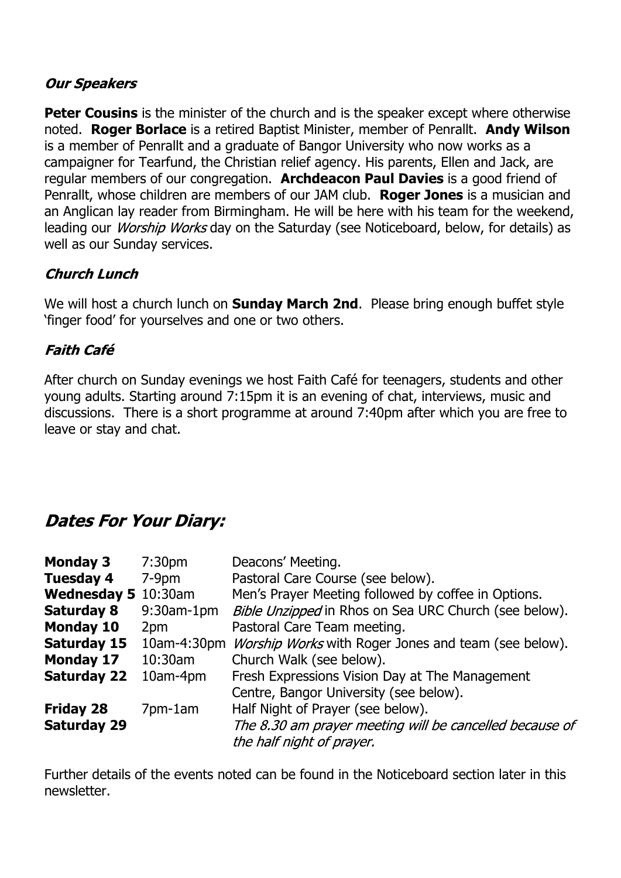### **Our Speakers**

**Peter Cousins** is the minister of the church and is the speaker except where otherwise noted. **Roger Borlace** is a retired Baptist Minister, member of Penrallt. **Andy Wilson** is a member of Penrallt and a graduate of Bangor University who now works as a campaigner for Tearfund, the Christian relief agency. His parents, Ellen and Jack, are regular members of our congregation. **Archdeacon Paul Davies** is a good friend of Penrallt, whose children are members of our JAM club. **Roger Jones** is a musician and an Anglican lay reader from Birmingham. He will be here with his team for the weekend, leading our *Worship Works* day on the Saturday (see Noticeboard, below, for details) as well as our Sunday services.

# **Church Lunch**

We will host a church lunch on **Sunday March 2nd**. Please bring enough buffet style 'finger food' for yourselves and one or two others.

# **Faith Café**

After church on Sunday evenings we host Faith Café for teenagers, students and other young adults. Starting around 7:15pm it is an evening of chat, interviews, music and discussions. There is a short programme at around 7:40pm after which you are free to leave or stay and chat.

# **Dates For Your Diary:**

| <b>Monday 3</b>     | 7:30 <sub>pm</sub> | Deacons' Meeting.                                           |
|---------------------|--------------------|-------------------------------------------------------------|
| <b>Tuesday 4</b>    | $7-9pm$            | Pastoral Care Course (see below).                           |
| Wednesday 5 10:30am |                    | Men's Prayer Meeting followed by coffee in Options.         |
| <b>Saturday 8</b>   | $9:30$ am-1 $pm$   | Bible Unzipped in Rhos on Sea URC Church (see below).       |
| <b>Monday 10</b>    | 2pm                | Pastoral Care Team meeting.                                 |
| Saturday 15         | 10am-4:30pm        | <i>Worship Works</i> with Roger Jones and team (see below). |
| <b>Monday 17</b>    | 10:30am            | Church Walk (see below).                                    |
| <b>Saturday 22</b>  | 10am-4pm           | Fresh Expressions Vision Day at The Management              |
|                     |                    | Centre, Bangor University (see below).                      |
| <b>Friday 28</b>    | 7pm-1am            | Half Night of Prayer (see below).                           |
| <b>Saturday 29</b>  |                    | The 8.30 am prayer meeting will be cancelled because of     |
|                     |                    | the half night of prayer.                                   |

Further details of the events noted can be found in the Noticeboard section later in this newsletter.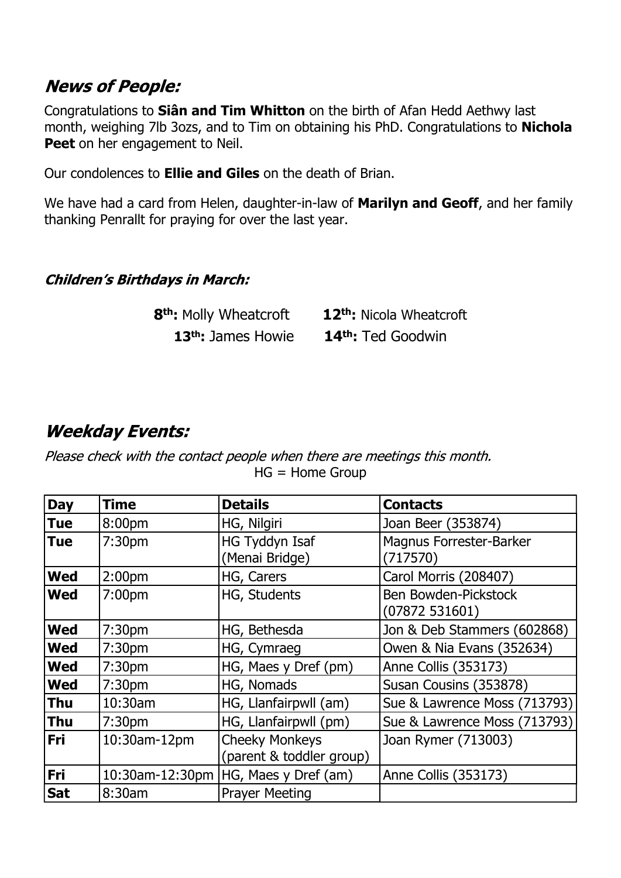# **News of People:**

Congratulations to **Siân and Tim Whitton** on the birth of Afan Hedd Aethwy last month, weighing 7lb 3ozs, and to Tim on obtaining his PhD. Congratulations to **Nichola Peet** on her engagement to Neil.

Our condolences to **Ellie and Giles** on the death of Brian.

We have had a card from Helen, daughter-in-law of **Marilyn and Geoff**, and her family thanking Penrallt for praying for over the last year.

## **Children's Birthdays in March:**

| 8 <sup>th</sup> : Molly Wheatcroft | 12 <sup>th</sup> : Nicola Wheatcroft |
|------------------------------------|--------------------------------------|
| 13 <sup>th</sup> : James Howie     | 14 <sup>th</sup> : Ted Goodwin       |

# **Weekday Events:**

Please check with the contact people when there are meetings this month. HG = Home Group

| <b>Day</b> | <b>Time</b>        | <b>Details</b>                                    | <b>Contacts</b>                            |
|------------|--------------------|---------------------------------------------------|--------------------------------------------|
| <b>Tue</b> | 8:00pm             | HG, Nilgiri                                       | Joan Beer (353874)                         |
| <b>Tue</b> | 7:30 <sub>pm</sub> | HG Tyddyn Isaf<br>(Menai Bridge)                  | <b>Magnus Forrester-Barker</b><br>(717570) |
| <b>Wed</b> | 2:00 <sub>pm</sub> | HG, Carers                                        | Carol Morris (208407)                      |
| <b>Wed</b> | 7:00 <sub>pm</sub> | HG, Students                                      | Ben Bowden-Pickstock<br>(07872531601)      |
| <b>Wed</b> | 7:30 <sub>pm</sub> | HG, Bethesda                                      | Jon & Deb Stammers (602868)                |
| <b>Wed</b> | 7:30 <sub>pm</sub> | HG, Cymraeg                                       | Owen & Nia Evans (352634)                  |
| <b>Wed</b> | 7:30 <sub>pm</sub> | HG, Maes y Dref (pm)                              | Anne Collis (353173)                       |
| <b>Wed</b> | 7:30 <sub>pm</sub> | HG, Nomads                                        | Susan Cousins (353878)                     |
| <b>Thu</b> | 10:30am            | HG, Llanfairpwll (am)                             | Sue & Lawrence Moss (713793)               |
| <b>Thu</b> | 7:30 <sub>pm</sub> | HG, Llanfairpwll (pm)                             | Sue & Lawrence Moss (713793)               |
| Fri        | 10:30am-12pm       | <b>Cheeky Monkeys</b><br>(parent & toddler group) | Joan Rymer (713003)                        |
| <b>Fri</b> | 10:30am-12:30pm    | HG, Maes y Dref (am)                              | Anne Collis (353173)                       |
| <b>Sat</b> | 8:30am             | <b>Prayer Meeting</b>                             |                                            |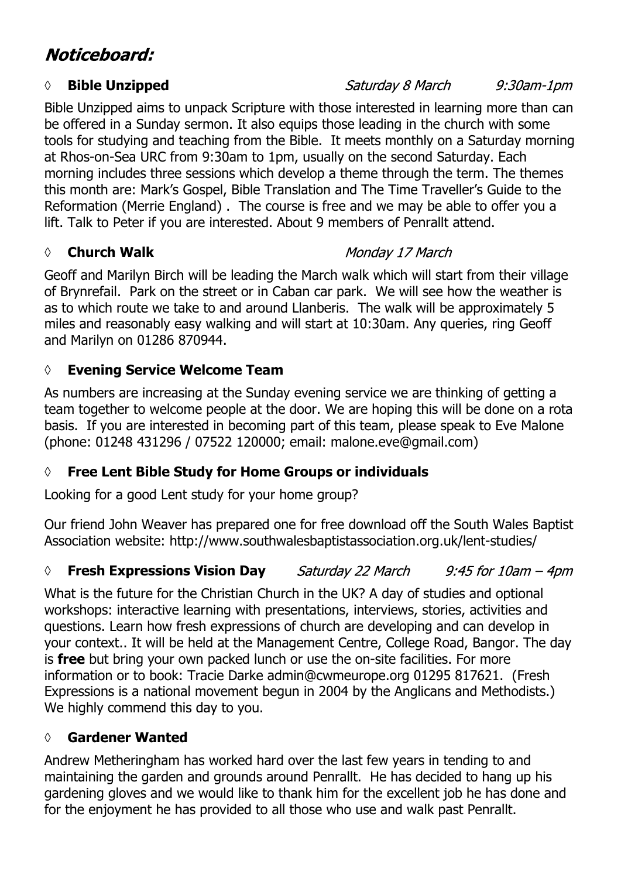# Noticeboard:

### *◊* **Bible Unzipped**

Bible Unzipped aims to unpack Scripture with those interested in learning more than can be offered in a Sunday sermon. It also equips those leading in the church with some tools for studying and teaching from the Bible. It meets monthly on a Saturday morning at Rhos-on-Sea URC from 9:30am to 1pm, usually on the second Saturday. Each morning includes three sessions which develop a theme through the term. The themes this month are: Mark's Gospel, Bible Translation and The Time Traveller's Guide to the Reformation (Merrie England) . The course is free and we may be able to offer you a lift. Talk to Peter if you are interested. About 9 members of Penrallt attend.

### *◊* **Church Walk**

## Monday 17 March

Geoff and Marilyn Birch will be leading the March walk which will start from their village of Brynrefail. Park on the street or in Caban car park. We will see how the weather is as to which route we take to and around Llanberis. The walk will be approximately 5 miles and reasonably easy walking and will start at 10:30am. Any queries, ring Geoff and Marilyn on 01286 870944.

# **◊ Evening Service Welcome Team**

As numbers are increasing at the Sunday evening service we are thinking of getting a team together to welcome people at the door. We are hoping this will be done on a rota basis. If you are interested in becoming part of this team, please speak to Eve Malone (phone: 01248 431296 / 07522 120000; email: malone.eve@gmail.com)

# **◊ Free Lent Bible Study for Home Groups or individuals**

Looking for a good Lent study for your home group?

Our friend John Weaver has prepared one for free download off the South Wales Baptist Association website: http://www.southwalesbaptistassociation.org.uk/lent-studies/

#### *◊* **Fresh Expressions Vision Day** Saturday 22 March  $9:45$  for  $10$ am  $-$  4pm

What is the future for the Christian Church in the UK? A day of studies and optional workshops: interactive learning with presentations, interviews, stories, activities and questions. Learn how fresh expressions of church are developing and can develop in your context.. It will be held at the Management Centre, College Road, Bangor. The day is **free** but bring your own packed lunch or use the on-site facilities. For more information or to book: Tracie Darke admin@cwmeurope.org 01295 817621. (Fresh Expressions is a national movement begun in 2004 by the Anglicans and Methodists.) We highly commend this day to you.

# **◊ Gardener Wanted**

Andrew Metheringham has worked hard over the last few years in tending to and maintaining the garden and grounds around Penrallt. He has decided to hang up his gardening gloves and we would like to thank him for the excellent job he has done and for the enjoyment he has provided to all those who use and walk past Penrallt.

### $9:30$ am-1 $pm$

Saturday 8 March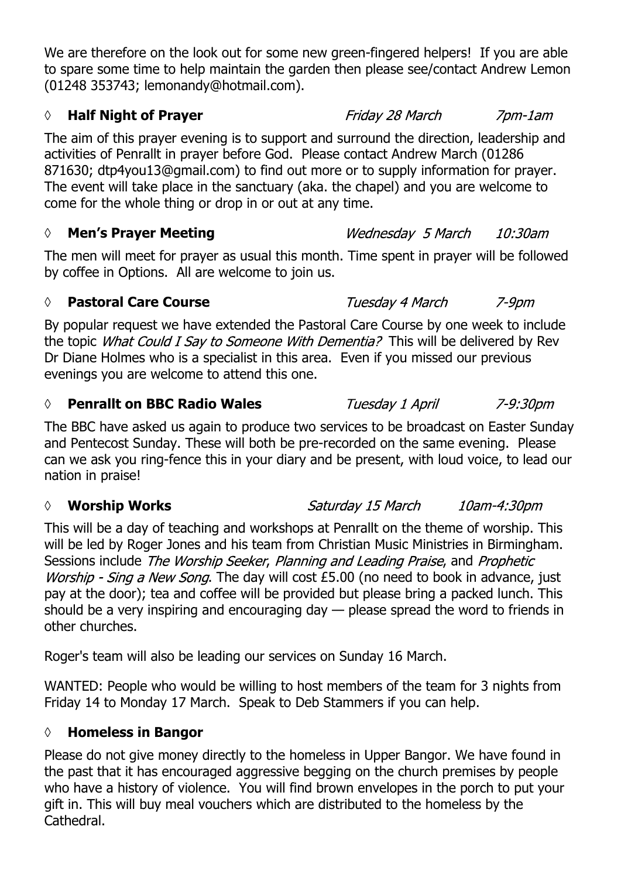We are therefore on the look out for some new green-fingered helpers! If you are able to spare some time to help maintain the garden then please see/contact Andrew Lemon (01248 353743; lemonandy@hotmail.com).

# *◊* **Half Night of Prayer**

The aim of this prayer evening is to support and surround the direction, leadership and activities of Penrallt in prayer before God. Please contact Andrew March (01286 871630; dtp4you13@gmail.com) to find out more or to supply information for prayer. The event will take place in the sanctuary (aka. the chapel) and you are welcome to come for the whole thing or drop in or out at any time.

# *◊* **Men's Prayer Meeting**

The men will meet for prayer as usual this month. Time spent in prayer will be followed by coffee in Options. All are welcome to join us.

# *◊* **Pastoral Care Course**

By popular request we have extended the Pastoral Care Course by one week to include the topic *What Could I Say to Someone With Dementia?* This will be delivered by Rev Dr Diane Holmes who is a specialist in this area. Even if you missed our previous evenings you are welcome to attend this one.

# **◊ Penrallt on BBC Radio Wales**

The BBC have asked us again to produce two services to be broadcast on Easter Sunday and Pentecost Sunday. These will both be pre-recorded on the same evening. Please can we ask you ring-fence this in your diary and be present, with loud voice, to lead our nation in praise!

# *◊* **Worship Works**

This will be a day of teaching and workshops at Penrallt on the theme of worship. This will be led by Roger Jones and his team from Christian Music Ministries in Birmingham. Sessions include The Worship Seeker, Planning and Leading Praise, and Prophetic Worship - Sing a New Song. The day will cost £5.00 (no need to book in advance, just pay at the door); tea and coffee will be provided but please bring a packed lunch. This should be a very inspiring and encouraging day — please spread the word to friends in other churches.

Roger's team will also be leading our services on Sunday 16 March.

WANTED: People who would be willing to host members of the team for 3 nights from Friday 14 to Monday 17 March. Speak to Deb Stammers if you can help.

# **◊ Homeless in Bangor**

Please do not give money directly to the homeless in Upper Bangor. We have found in the past that it has encouraged aggressive begging on the church premises by people who have a history of violence. You will find brown envelopes in the porch to put your gift in. This will buy meal vouchers which are distributed to the homeless by the Cathedral.

10:30am Wednesday 5 March

7pm-1am

Tuesday 4 March  $7 - 9$ pm

Tuesday 1 April 7-9:30pm

Saturday 15 March

10am-4:30pm

Friday 28 March